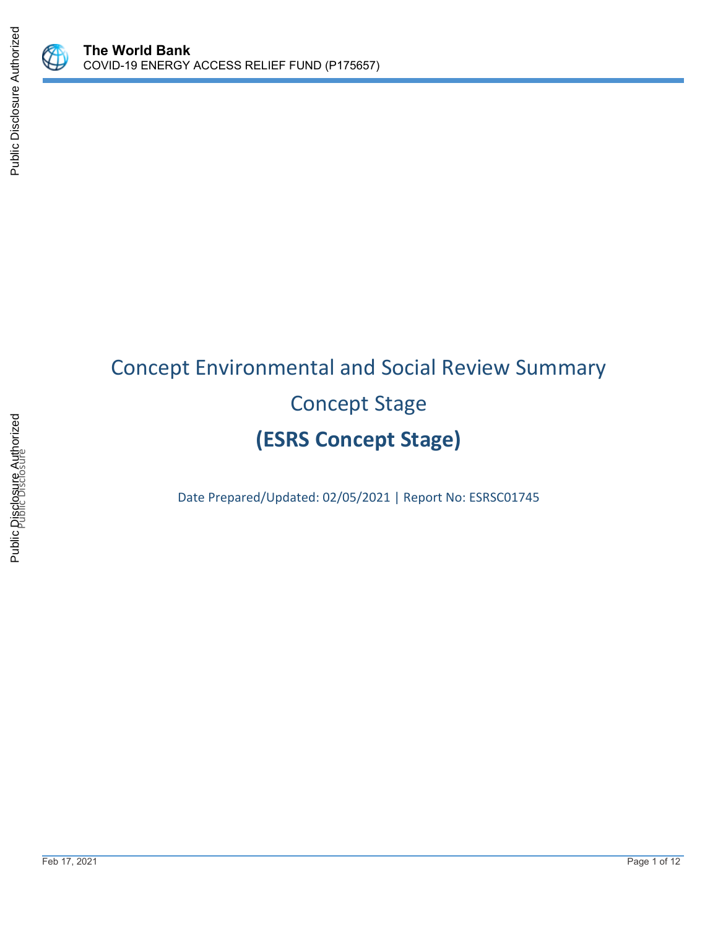

Public Disclosure Authorized

Public Disclosure Authorized

# Concept Environmental and Social Review Summary Concept Stage **(ESRS Concept Stage)**

Date Prepared/Updated: 02/05/2021 | Report No: ESRSC01745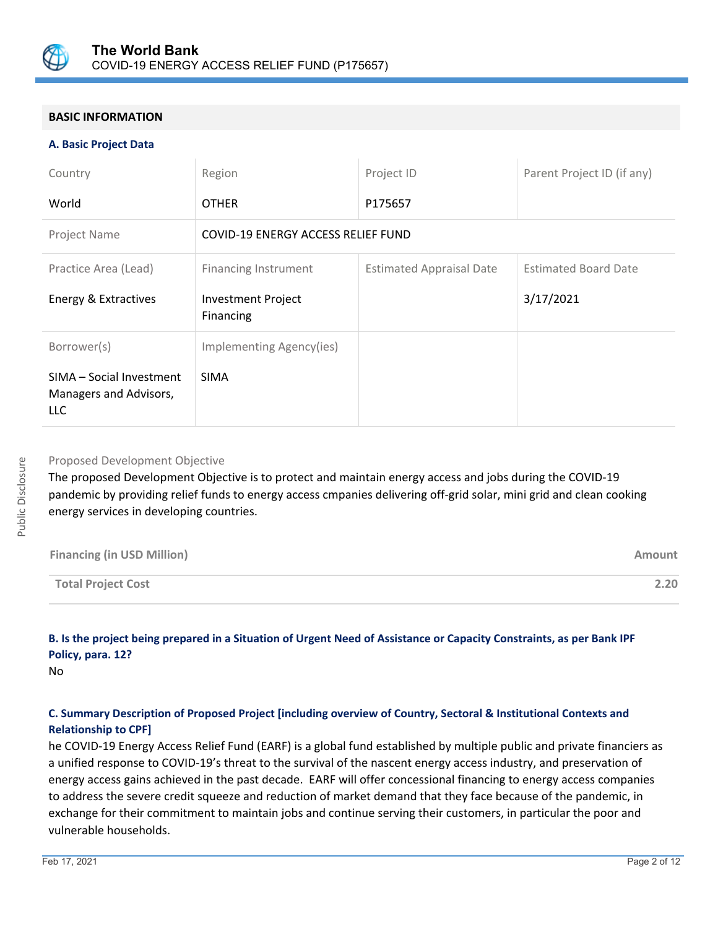

# **BASIC INFORMATION**

#### **A. Basic Project Data**

| Country                                                   | Region                                 | Project ID                      | Parent Project ID (if any)  |
|-----------------------------------------------------------|----------------------------------------|---------------------------------|-----------------------------|
| World                                                     | <b>OTHER</b>                           | P175657                         |                             |
| Project Name                                              | COVID-19 ENERGY ACCESS RELIEF FUND     |                                 |                             |
| Practice Area (Lead)                                      | <b>Financing Instrument</b>            | <b>Estimated Appraisal Date</b> | <b>Estimated Board Date</b> |
| Energy & Extractives                                      | <b>Investment Project</b><br>Financing |                                 | 3/17/2021                   |
| Borrower(s)                                               | Implementing Agency(ies)               |                                 |                             |
| SIMA - Social Investment<br>Managers and Advisors,<br>LLC | <b>SIMA</b>                            |                                 |                             |

#### Proposed Development Objective

The proposed Development Objective is to protect and maintain energy access and jobs during the COVID-19 pandemic by providing relief funds to energy access cmpanies delivering off-grid solar, mini grid and clean cooking energy services in developing countries.

| <b>Financing (in USD Million)</b> | Amount |
|-----------------------------------|--------|
| <b>Total Project Cost</b>         | 2.20   |

# **B. Is the project being prepared in a Situation of Urgent Need of Assistance or Capacity Constraints, as per Bank IPF Policy, para. 12?**

No

# **C. Summary Description of Proposed Project [including overview of Country, Sectoral & Institutional Contexts and Relationship to CPF]**

he COVID-19 Energy Access Relief Fund (EARF) is a global fund established by multiple public and private financiers as a unified response to COVID-19's threat to the survival of the nascent energy access industry, and preservation of energy access gains achieved in the past decade. EARF will offer concessional financing to energy access companies to address the severe credit squeeze and reduction of market demand that they face because of the pandemic, in exchange for their commitment to maintain jobs and continue serving their customers, in particular the poor and vulnerable households.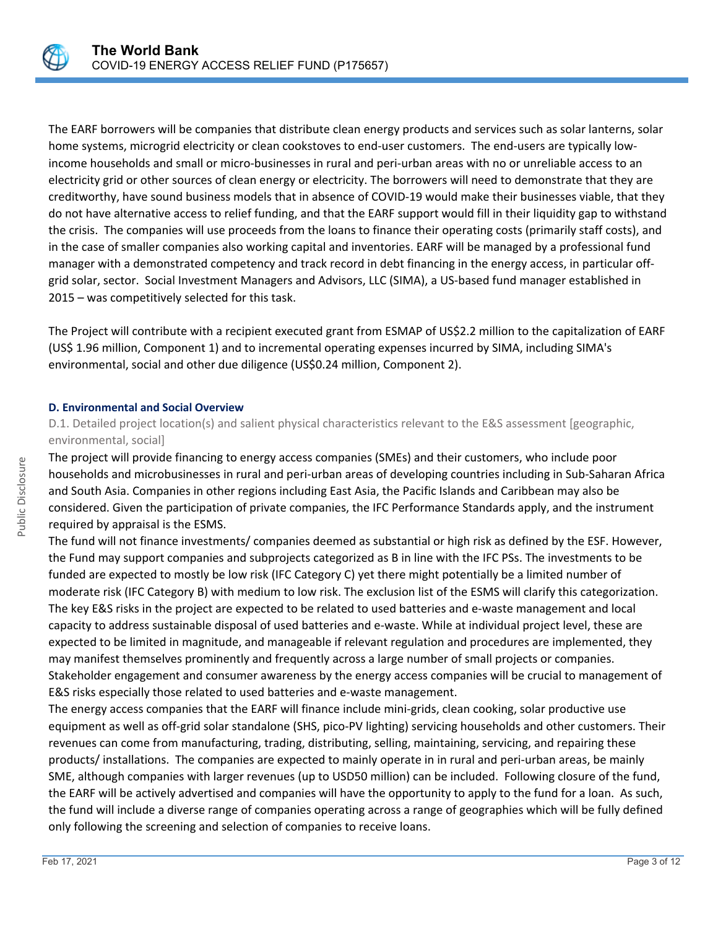

The EARF borrowers will be companies that distribute clean energy products and services such as solar lanterns, solar home systems, microgrid electricity or clean cookstoves to end-user customers. The end-users are typically lowincome households and small or micro-businesses in rural and peri-urban areas with no or unreliable access to an electricity grid or other sources of clean energy or electricity. The borrowers will need to demonstrate that they are creditworthy, have sound business models that in absence of COVID-19 would make their businesses viable, that they do not have alternative access to relief funding, and that the EARF support would fill in their liquidity gap to withstand the crisis. The companies will use proceeds from the loans to finance their operating costs (primarily staff costs), and in the case of smaller companies also working capital and inventories. EARF will be managed by a professional fund manager with a demonstrated competency and track record in debt financing in the energy access, in particular offgrid solar, sector. Social Investment Managers and Advisors, LLC (SIMA), a US-based fund manager established in 2015 – was competitively selected for this task.

The Project will contribute with a recipient executed grant from ESMAP of US\$2.2 million to the capitalization of EARF (US\$ 1.96 million, Component 1) and to incremental operating expenses incurred by SIMA, including SIMA's environmental, social and other due diligence (US\$0.24 million, Component 2).

#### **D. Environmental and Social Overview**

D.1. Detailed project location(s) and salient physical characteristics relevant to the E&S assessment [geographic, environmental, social]

The project will provide financing to energy access companies (SMEs) and their customers, who include poor households and microbusinesses in rural and peri-urban areas of developing countries including in Sub-Saharan Africa and South Asia. Companies in other regions including East Asia, the Pacific Islands and Caribbean may also be considered. Given the participation of private companies, the IFC Performance Standards apply, and the instrument required by appraisal is the ESMS.

The fund will not finance investments/ companies deemed as substantial or high risk as defined by the ESF. However, the Fund may support companies and subprojects categorized as B in line with the IFC PSs. The investments to be funded are expected to mostly be low risk (IFC Category C) yet there might potentially be a limited number of moderate risk (IFC Category B) with medium to low risk. The exclusion list of the ESMS will clarify this categorization. The key E&S risks in the project are expected to be related to used batteries and e-waste management and local capacity to address sustainable disposal of used batteries and e-waste. While at individual project level, these are expected to be limited in magnitude, and manageable if relevant regulation and procedures are implemented, they may manifest themselves prominently and frequently across a large number of small projects or companies. Stakeholder engagement and consumer awareness by the energy access companies will be crucial to management of E&S risks especially those related to used batteries and e-waste management.

The energy access companies that the EARF will finance include mini-grids, clean cooking, solar productive use equipment as well as off-grid solar standalone (SHS, pico-PV lighting) servicing households and other customers. Their revenues can come from manufacturing, trading, distributing, selling, maintaining, servicing, and repairing these products/ installations. The companies are expected to mainly operate in in rural and peri-urban areas, be mainly SME, although companies with larger revenues (up to USD50 million) can be included. Following closure of the fund, the EARF will be actively advertised and companies will have the opportunity to apply to the fund for a loan. As such, the fund will include a diverse range of companies operating across a range of geographies which will be fully defined only following the screening and selection of companies to receive loans.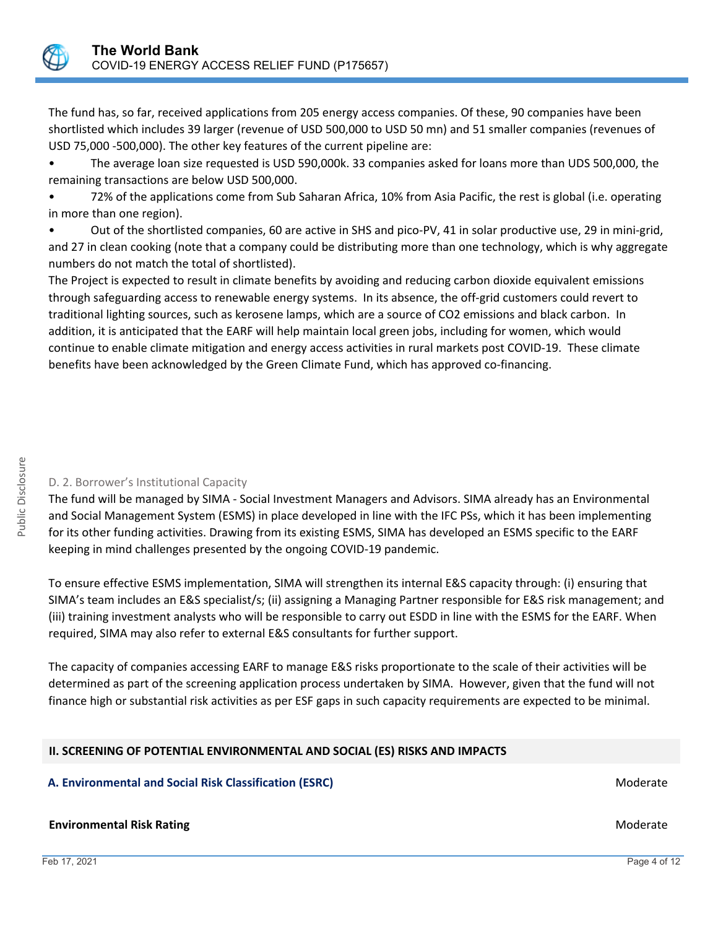

The fund has, so far, received applications from 205 energy access companies. Of these, 90 companies have been shortlisted which includes 39 larger (revenue of USD 500,000 to USD 50 mn) and 51 smaller companies (revenues of USD 75,000 -500,000). The other key features of the current pipeline are:

• The average loan size requested is USD 590,000k. 33 companies asked for loans more than UDS 500,000, the remaining transactions are below USD 500,000.

• 72% of the applications come from Sub Saharan Africa, 10% from Asia Pacific, the rest is global (i.e. operating in more than one region).

• Out of the shortlisted companies, 60 are active in SHS and pico-PV, 41 in solar productive use, 29 in mini-grid, and 27 in clean cooking (note that a company could be distributing more than one technology, which is why aggregate numbers do not match the total of shortlisted).

The Project is expected to result in climate benefits by avoiding and reducing carbon dioxide equivalent emissions through safeguarding access to renewable energy systems. In its absence, the off-grid customers could revert to traditional lighting sources, such as kerosene lamps, which are a source of CO2 emissions and black carbon. In addition, it is anticipated that the EARF will help maintain local green jobs, including for women, which would continue to enable climate mitigation and energy access activities in rural markets post COVID-19. These climate benefits have been acknowledged by the Green Climate Fund, which has approved co-financing.

# D. 2. Borrower's Institutional Capacity

The fund will be managed by SIMA - Social Investment Managers and Advisors. SIMA already has an Environmental and Social Management System (ESMS) in place developed in line with the IFC PSs, which it has been implementing for its other funding activities. Drawing from its existing ESMS, SIMA has developed an ESMS specific to the EARF keeping in mind challenges presented by the ongoing COVID-19 pandemic.

To ensure effective ESMS implementation, SIMA will strengthen its internal E&S capacity through: (i) ensuring that SIMA's team includes an E&S specialist/s; (ii) assigning a Managing Partner responsible for E&S risk management; and (iii) training investment analysts who will be responsible to carry out ESDD in line with the ESMS for the EARF. When required, SIMA may also refer to external E&S consultants for further support.

The capacity of companies accessing EARF to manage E&S risks proportionate to the scale of their activities will be determined as part of the screening application process undertaken by SIMA. However, given that the fund will not finance high or substantial risk activities as per ESF gaps in such capacity requirements are expected to be minimal.

# **II. SCREENING OF POTENTIAL ENVIRONMENTAL AND SOCIAL (ES) RISKS AND IMPACTS**

# **A. Environmental and Social Risk Classification (ESRC) Moderate and Social Risk Classification (ESRC) Moderate**

# **Environmental Risk Rating Moderate School School School School School School School School School School School School School School School School School School School School School School School School School School Scho**

Feb 17, 2021 Page 4 of 12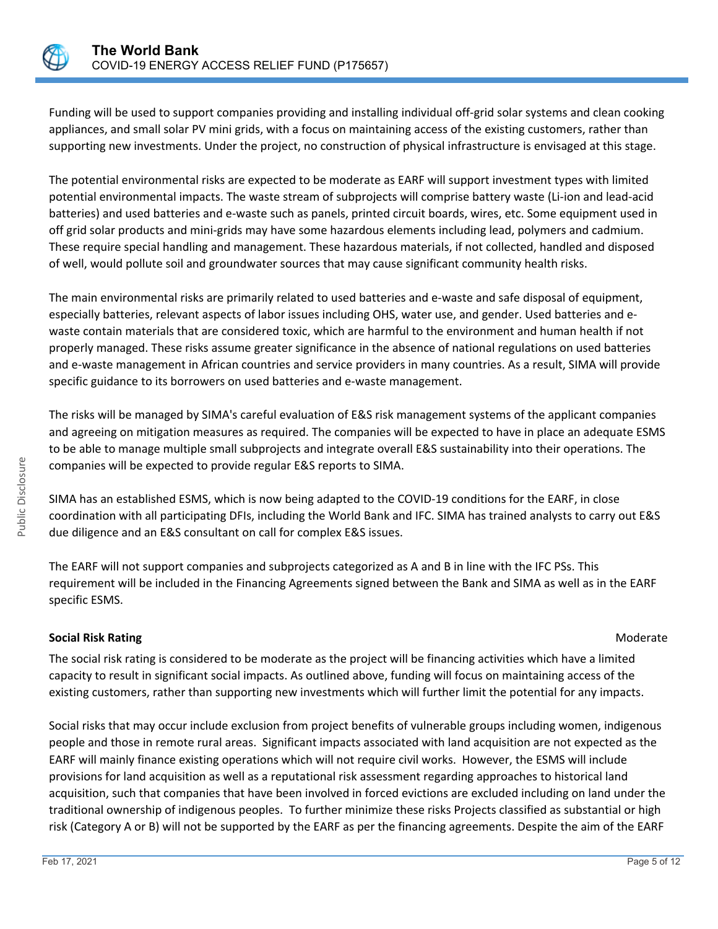

Funding will be used to support companies providing and installing individual off-grid solar systems and clean cooking appliances, and small solar PV mini grids, with a focus on maintaining access of the existing customers, rather than supporting new investments. Under the project, no construction of physical infrastructure is envisaged at this stage.

The potential environmental risks are expected to be moderate as EARF will support investment types with limited potential environmental impacts. The waste stream of subprojects will comprise battery waste (Li-ion and lead-acid batteries) and used batteries and e-waste such as panels, printed circuit boards, wires, etc. Some equipment used in off grid solar products and mini-grids may have some hazardous elements including lead, polymers and cadmium. These require special handling and management. These hazardous materials, if not collected, handled and disposed of well, would pollute soil and groundwater sources that may cause significant community health risks.

The main environmental risks are primarily related to used batteries and e-waste and safe disposal of equipment, especially batteries, relevant aspects of labor issues including OHS, water use, and gender. Used batteries and ewaste contain materials that are considered toxic, which are harmful to the environment and human health if not properly managed. These risks assume greater significance in the absence of national regulations on used batteries and e-waste management in African countries and service providers in many countries. As a result, SIMA will provide specific guidance to its borrowers on used batteries and e-waste management.

The risks will be managed by SIMA's careful evaluation of E&S risk management systems of the applicant companies and agreeing on mitigation measures as required. The companies will be expected to have in place an adequate ESMS to be able to manage multiple small subprojects and integrate overall E&S sustainability into their operations. The companies will be expected to provide regular E&S reports to SIMA.

SIMA has an established ESMS, which is now being adapted to the COVID-19 conditions for the EARF, in close coordination with all participating DFIs, including the World Bank and IFC. SIMA has trained analysts to carry out E&S due diligence and an E&S consultant on call for complex E&S issues.

The EARF will not support companies and subprojects categorized as A and B in line with the IFC PSs. This requirement will be included in the Financing Agreements signed between the Bank and SIMA as well as in the EARF specific ESMS.

# **Social Risk Rating Moderate Social Risk Rating Moderate**  $M$

The social risk rating is considered to be moderate as the project will be financing activities which have a limited capacity to result in significant social impacts. As outlined above, funding will focus on maintaining access of the existing customers, rather than supporting new investments which will further limit the potential for any impacts.

Social risks that may occur include exclusion from project benefits of vulnerable groups including women, indigenous people and those in remote rural areas. Significant impacts associated with land acquisition are not expected as the EARF will mainly finance existing operations which will not require civil works. However, the ESMS will include provisions for land acquisition as well as a reputational risk assessment regarding approaches to historical land acquisition, such that companies that have been involved in forced evictions are excluded including on land under the traditional ownership of indigenous peoples. To further minimize these risks Projects classified as substantial or high risk (Category A or B) will not be supported by the EARF as per the financing agreements. Despite the aim of the EARF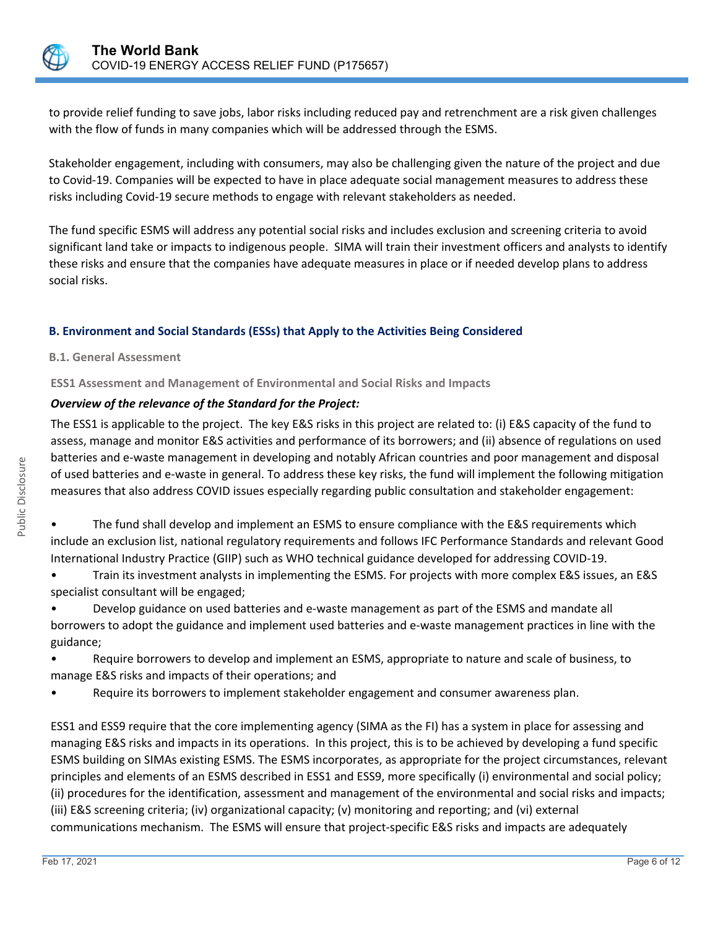

to provide relief funding to save jobs, labor risks including reduced pay and retrenchment are a risk given challenges with the flow of funds in many companies which will be addressed through the ESMS.

Stakeholder engagement, including with consumers, may also be challenging given the nature of the project and due to Covid-19. Companies will be expected to have in place adequate social management measures to address these risks including Covid-19 secure methods to engage with relevant stakeholders as needed.

The fund specific ESMS will address any potential social risks and includes exclusion and screening criteria to avoid significant land take or impacts to indigenous people. SIMA will train their investment officers and analysts to identify these risks and ensure that the companies have adequate measures in place or if needed develop plans to address social risks.

# **B. Environment and Social Standards (ESSs) that Apply to the Activities Being Considered**

# **B.1. General Assessment**

**ESS1 Assessment and Management of Environmental and Social Risks and Impacts**

# *Overview of the relevance of the Standard for the Project:*

The ESS1 is applicable to the project. The key E&S risks in this project are related to: (i) E&S capacity of the fund to assess, manage and monitor E&S activities and performance of its borrowers; and (ii) absence of regulations on used batteries and e-waste management in developing and notably African countries and poor management and disposal of used batteries and e-waste in general. To address these key risks, the fund will implement the following mitigation measures that also address COVID issues especially regarding public consultation and stakeholder engagement:

• The fund shall develop and implement an ESMS to ensure compliance with the E&S requirements which include an exclusion list, national regulatory requirements and follows IFC Performance Standards and relevant Good International Industry Practice (GIIP) such as WHO technical guidance developed for addressing COVID-19.

• Train its investment analysts in implementing the ESMS. For projects with more complex E&S issues, an E&S specialist consultant will be engaged;

• Develop guidance on used batteries and e-waste management as part of the ESMS and mandate all borrowers to adopt the guidance and implement used batteries and e-waste management practices in line with the guidance;

- Require borrowers to develop and implement an ESMS, appropriate to nature and scale of business, to manage E&S risks and impacts of their operations; and
- Require its borrowers to implement stakeholder engagement and consumer awareness plan.

ESS1 and ESS9 require that the core implementing agency (SIMA as the FI) has a system in place for assessing and managing E&S risks and impacts in its operations. In this project, this is to be achieved by developing a fund specific ESMS building on SIMAs existing ESMS. The ESMS incorporates, as appropriate for the project circumstances, relevant principles and elements of an ESMS described in ESS1 and ESS9, more specifically (i) environmental and social policy; (ii) procedures for the identification, assessment and management of the environmental and social risks and impacts; (iii) E&S screening criteria; (iv) organizational capacity; (v) monitoring and reporting; and (vi) external communications mechanism. The ESMS will ensure that project-specific E&S risks and impacts are adequately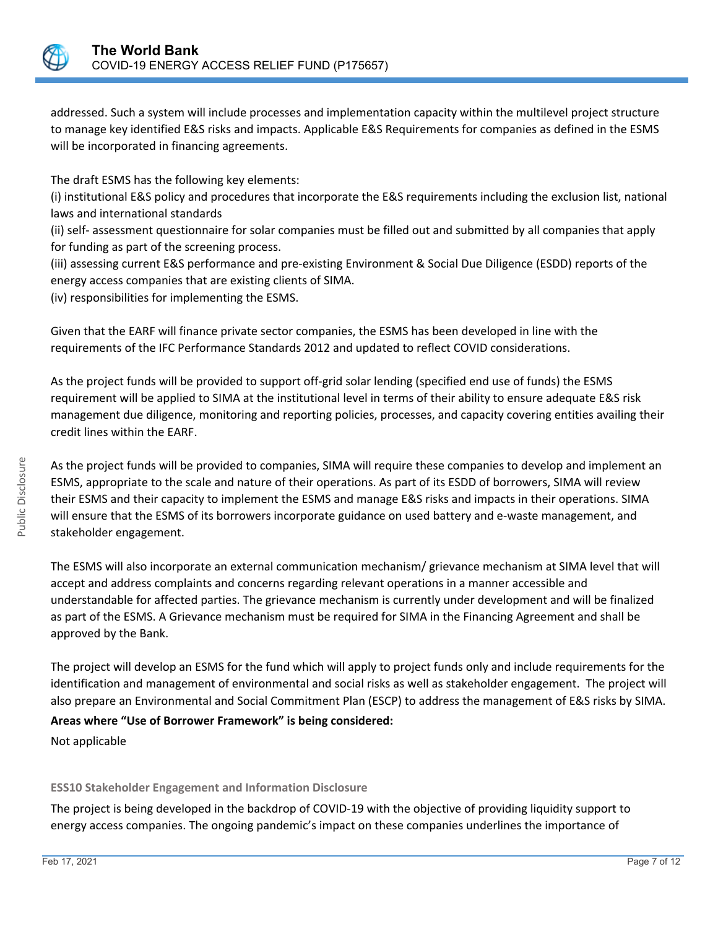

addressed. Such a system will include processes and implementation capacity within the multilevel project structure to manage key identified E&S risks and impacts. Applicable E&S Requirements for companies as defined in the ESMS will be incorporated in financing agreements.

The draft ESMS has the following key elements:

(i) institutional E&S policy and procedures that incorporate the E&S requirements including the exclusion list, national laws and international standards

(ii) self- assessment questionnaire for solar companies must be filled out and submitted by all companies that apply for funding as part of the screening process.

(iii) assessing current E&S performance and pre-existing Environment & Social Due Diligence (ESDD) reports of the energy access companies that are existing clients of SIMA.

(iv) responsibilities for implementing the ESMS.

Given that the EARF will finance private sector companies, the ESMS has been developed in line with the requirements of the IFC Performance Standards 2012 and updated to reflect COVID considerations.

As the project funds will be provided to support off-grid solar lending (specified end use of funds) the ESMS requirement will be applied to SIMA at the institutional level in terms of their ability to ensure adequate E&S risk management due diligence, monitoring and reporting policies, processes, and capacity covering entities availing their credit lines within the EARF.

As the project funds will be provided to companies, SIMA will require these companies to develop and implement an ESMS, appropriate to the scale and nature of their operations. As part of its ESDD of borrowers, SIMA will review their ESMS and their capacity to implement the ESMS and manage E&S risks and impacts in their operations. SIMA will ensure that the ESMS of its borrowers incorporate guidance on used battery and e-waste management, and stakeholder engagement.

The ESMS will also incorporate an external communication mechanism/ grievance mechanism at SIMA level that will accept and address complaints and concerns regarding relevant operations in a manner accessible and understandable for affected parties. The grievance mechanism is currently under development and will be finalized as part of the ESMS. A Grievance mechanism must be required for SIMA in the Financing Agreement and shall be approved by the Bank.

The project will develop an ESMS for the fund which will apply to project funds only and include requirements for the identification and management of environmental and social risks as well as stakeholder engagement. The project will also prepare an Environmental and Social Commitment Plan (ESCP) to address the management of E&S risks by SIMA.

**Areas where "Use of Borrower Framework" is being considered:**

Not applicable

# **ESS10 Stakeholder Engagement and Information Disclosure**

The project is being developed in the backdrop of COVID-19 with the objective of providing liquidity support to energy access companies. The ongoing pandemic's impact on these companies underlines the importance of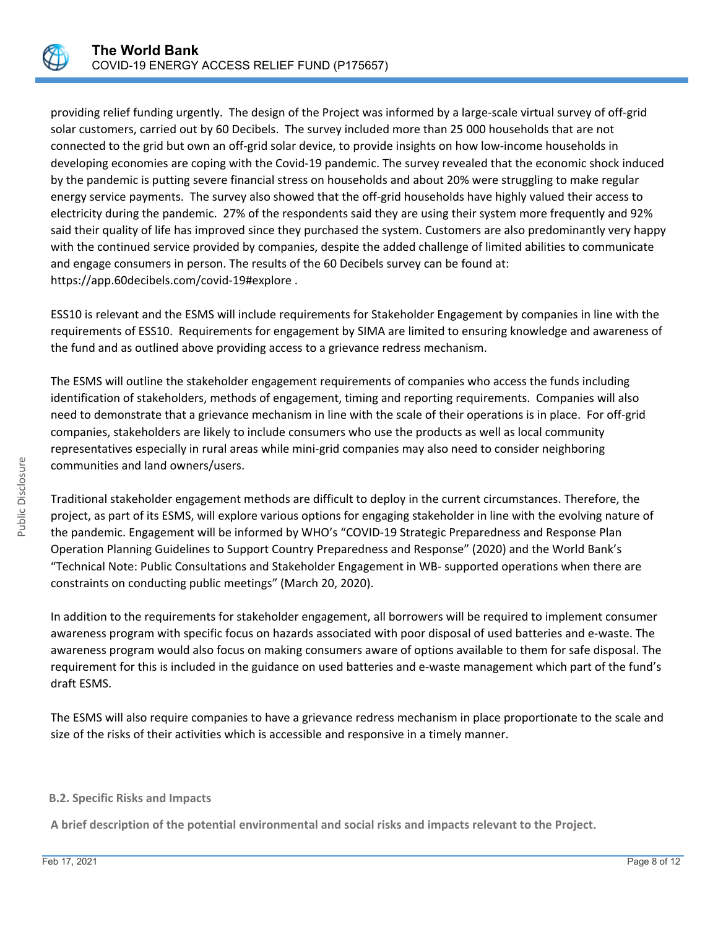

providing relief funding urgently. The design of the Project was informed by a large-scale virtual survey of off-grid solar customers, carried out by 60 Decibels. The survey included more than 25 000 households that are not connected to the grid but own an off-grid solar device, to provide insights on how low-income households in developing economies are coping with the Covid-19 pandemic. The survey revealed that the economic shock induced by the pandemic is putting severe financial stress on households and about 20% were struggling to make regular energy service payments. The survey also showed that the off-grid households have highly valued their access to electricity during the pandemic. 27% of the respondents said they are using their system more frequently and 92% said their quality of life has improved since they purchased the system. Customers are also predominantly very happy with the continued service provided by companies, despite the added challenge of limited abilities to communicate and engage consumers in person. The results of the 60 Decibels survey can be found at: https://app.60decibels.com/covid-19#explore .

ESS10 is relevant and the ESMS will include requirements for Stakeholder Engagement by companies in line with the requirements of ESS10. Requirements for engagement by SIMA are limited to ensuring knowledge and awareness of the fund and as outlined above providing access to a grievance redress mechanism.

The ESMS will outline the stakeholder engagement requirements of companies who access the funds including identification of stakeholders, methods of engagement, timing and reporting requirements. Companies will also need to demonstrate that a grievance mechanism in line with the scale of their operations is in place. For off-grid companies, stakeholders are likely to include consumers who use the products as well as local community representatives especially in rural areas while mini-grid companies may also need to consider neighboring communities and land owners/users.

Traditional stakeholder engagement methods are difficult to deploy in the current circumstances. Therefore, the project, as part of its ESMS, will explore various options for engaging stakeholder in line with the evolving nature of the pandemic. Engagement will be informed by WHO's "COVID-19 Strategic Preparedness and Response Plan Operation Planning Guidelines to Support Country Preparedness and Response" (2020) and the World Bank's "Technical Note: Public Consultations and Stakeholder Engagement in WB- supported operations when there are constraints on conducting public meetings" (March 20, 2020).

In addition to the requirements for stakeholder engagement, all borrowers will be required to implement consumer awareness program with specific focus on hazards associated with poor disposal of used batteries and e-waste. The awareness program would also focus on making consumers aware of options available to them for safe disposal. The requirement for this is included in the guidance on used batteries and e-waste management which part of the fund's draft ESMS.

The ESMS will also require companies to have a grievance redress mechanism in place proportionate to the scale and size of the risks of their activities which is accessible and responsive in a timely manner.

# **B.2. Specific Risks and Impacts**

**A brief description of the potential environmental and social risks and impacts relevant to the Project.**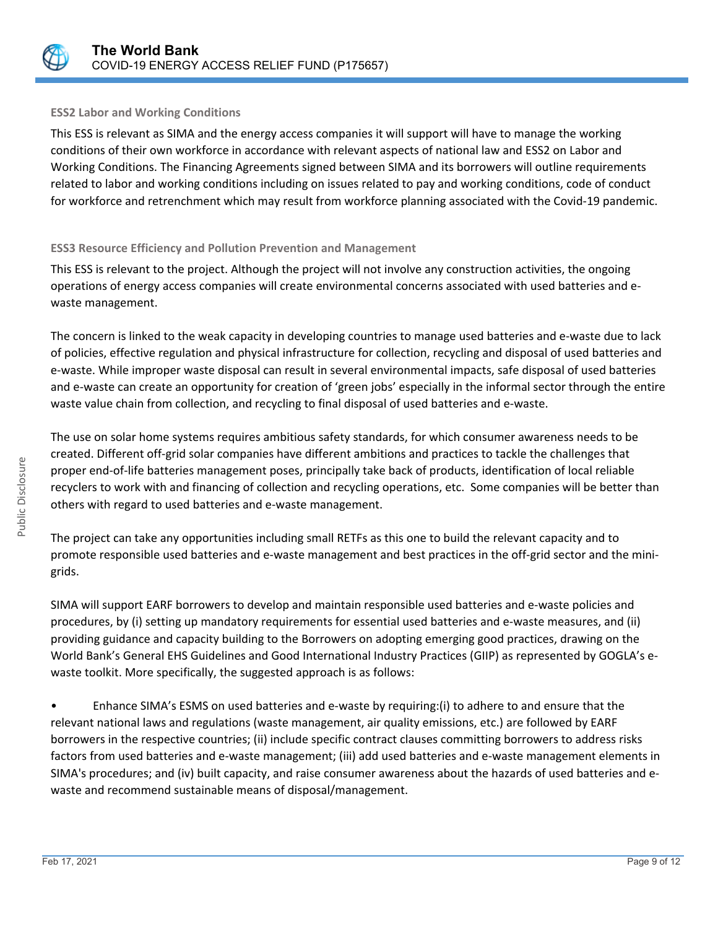

# **ESS2 Labor and Working Conditions**

This ESS is relevant as SIMA and the energy access companies it will support will have to manage the working conditions of their own workforce in accordance with relevant aspects of national law and ESS2 on Labor and Working Conditions. The Financing Agreements signed between SIMA and its borrowers will outline requirements related to labor and working conditions including on issues related to pay and working conditions, code of conduct for workforce and retrenchment which may result from workforce planning associated with the Covid-19 pandemic.

# **ESS3 Resource Efficiency and Pollution Prevention and Management**

This ESS is relevant to the project. Although the project will not involve any construction activities, the ongoing operations of energy access companies will create environmental concerns associated with used batteries and ewaste management.

The concern is linked to the weak capacity in developing countries to manage used batteries and e-waste due to lack of policies, effective regulation and physical infrastructure for collection, recycling and disposal of used batteries and e-waste. While improper waste disposal can result in several environmental impacts, safe disposal of used batteries and e-waste can create an opportunity for creation of 'green jobs' especially in the informal sector through the entire waste value chain from collection, and recycling to final disposal of used batteries and e-waste.

The use on solar home systems requires ambitious safety standards, for which consumer awareness needs to be created. Different off-grid solar companies have different ambitions and practices to tackle the challenges that proper end-of-life batteries management poses, principally take back of products, identification of local reliable recyclers to work with and financing of collection and recycling operations, etc. Some companies will be better than others with regard to used batteries and e-waste management.

The project can take any opportunities including small RETFs as this one to build the relevant capacity and to promote responsible used batteries and e-waste management and best practices in the off-grid sector and the minigrids.

SIMA will support EARF borrowers to develop and maintain responsible used batteries and e-waste policies and procedures, by (i) setting up mandatory requirements for essential used batteries and e-waste measures, and (ii) providing guidance and capacity building to the Borrowers on adopting emerging good practices, drawing on the World Bank's General EHS Guidelines and Good International Industry Practices (GIIP) as represented by GOGLA's ewaste toolkit. More specifically, the suggested approach is as follows:

• Enhance SIMA's ESMS on used batteries and e-waste by requiring:(i) to adhere to and ensure that the relevant national laws and regulations (waste management, air quality emissions, etc.) are followed by EARF borrowers in the respective countries; (ii) include specific contract clauses committing borrowers to address risks factors from used batteries and e-waste management; (iii) add used batteries and e-waste management elements in SIMA's procedures; and (iv) built capacity, and raise consumer awareness about the hazards of used batteries and ewaste and recommend sustainable means of disposal/management.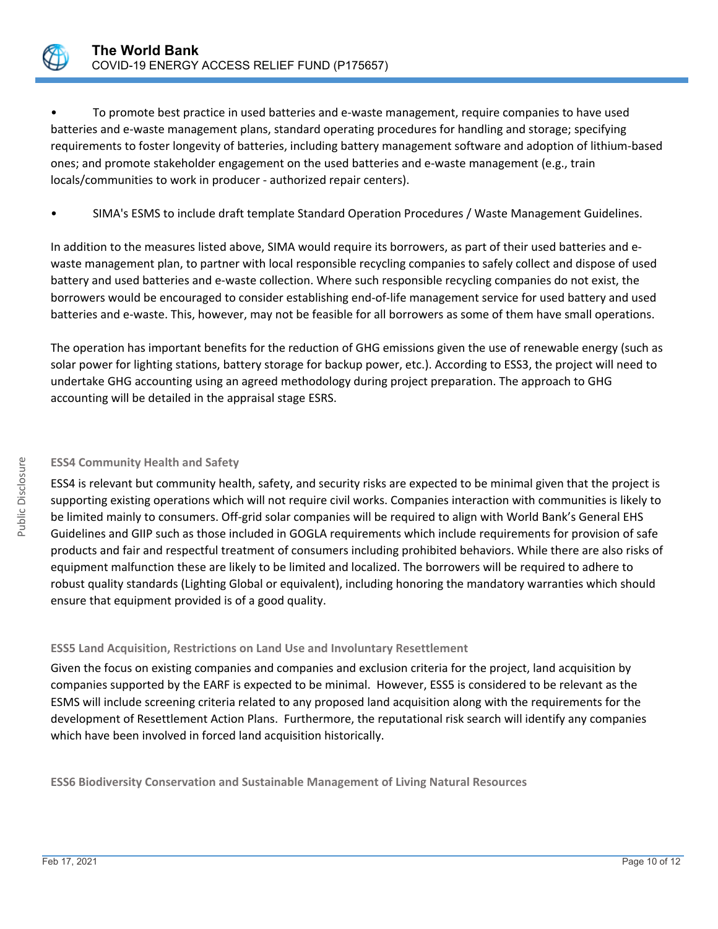

• To promote best practice in used batteries and e-waste management, require companies to have used batteries and e-waste management plans, standard operating procedures for handling and storage; specifying requirements to foster longevity of batteries, including battery management software and adoption of lithium-based ones; and promote stakeholder engagement on the used batteries and e-waste management (e.g., train locals/communities to work in producer - authorized repair centers).

• SIMA's ESMS to include draft template Standard Operation Procedures / Waste Management Guidelines.

In addition to the measures listed above, SIMA would require its borrowers, as part of their used batteries and ewaste management plan, to partner with local responsible recycling companies to safely collect and dispose of used battery and used batteries and e-waste collection. Where such responsible recycling companies do not exist, the borrowers would be encouraged to consider establishing end-of-life management service for used battery and used batteries and e-waste. This, however, may not be feasible for all borrowers as some of them have small operations.

The operation has important benefits for the reduction of GHG emissions given the use of renewable energy (such as solar power for lighting stations, battery storage for backup power, etc.). According to ESS3, the project will need to undertake GHG accounting using an agreed methodology during project preparation. The approach to GHG accounting will be detailed in the appraisal stage ESRS.

# **ESS4 Community Health and Safety**

ESS4 is relevant but community health, safety, and security risks are expected to be minimal given that the project is supporting existing operations which will not require civil works. Companies interaction with communities is likely to be limited mainly to consumers. Off-grid solar companies will be required to align with World Bank's General EHS Guidelines and GIIP such as those included in GOGLA requirements which include requirements for provision of safe products and fair and respectful treatment of consumers including prohibited behaviors. While there are also risks of equipment malfunction these are likely to be limited and localized. The borrowers will be required to adhere to robust quality standards (Lighting Global or equivalent), including honoring the mandatory warranties which should ensure that equipment provided is of a good quality.

# **ESS5 Land Acquisition, Restrictions on Land Use and Involuntary Resettlement**

Given the focus on existing companies and companies and exclusion criteria for the project, land acquisition by companies supported by the EARF is expected to be minimal. However, ESS5 is considered to be relevant as the ESMS will include screening criteria related to any proposed land acquisition along with the requirements for the development of Resettlement Action Plans. Furthermore, the reputational risk search will identify any companies which have been involved in forced land acquisition historically.

**ESS6 Biodiversity Conservation and Sustainable Management of Living Natural Resources**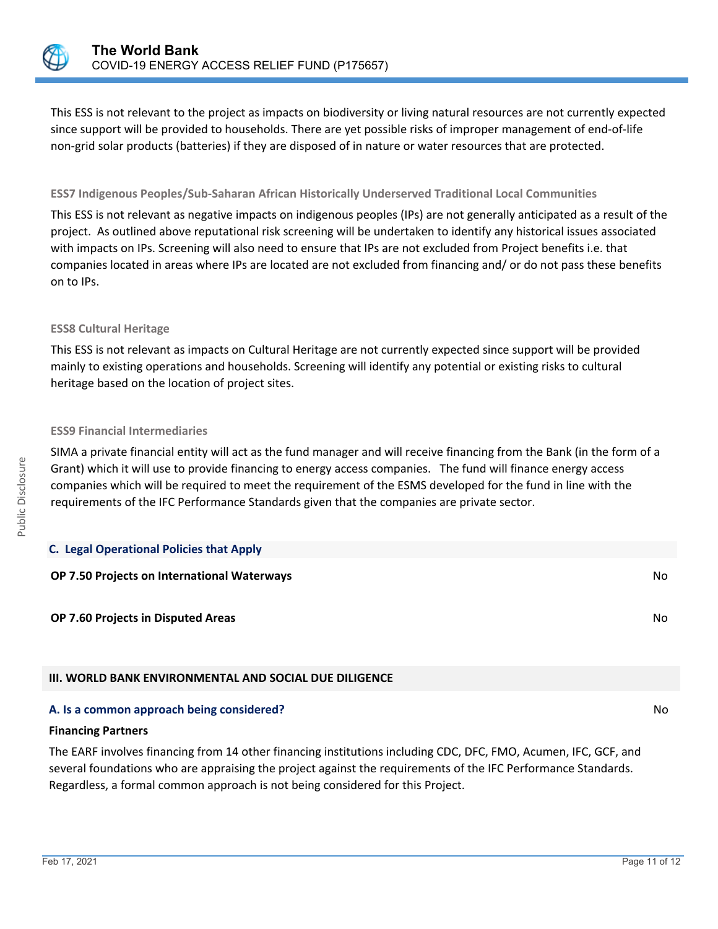

This ESS is not relevant to the project as impacts on biodiversity or living natural resources are not currently expected since support will be provided to households. There are yet possible risks of improper management of end-of-life non-grid solar products (batteries) if they are disposed of in nature or water resources that are protected.

# **ESS7 Indigenous Peoples/Sub-Saharan African Historically Underserved Traditional Local Communities**

This ESS is not relevant as negative impacts on indigenous peoples (IPs) are not generally anticipated as a result of the project. As outlined above reputational risk screening will be undertaken to identify any historical issues associated with impacts on IPs. Screening will also need to ensure that IPs are not excluded from Project benefits i.e. that companies located in areas where IPs are located are not excluded from financing and/ or do not pass these benefits on to IPs.

# **ESS8 Cultural Heritage**

This ESS is not relevant as impacts on Cultural Heritage are not currently expected since support will be provided mainly to existing operations and households. Screening will identify any potential or existing risks to cultural heritage based on the location of project sites.

# **ESS9 Financial Intermediaries**

SIMA a private financial entity will act as the fund manager and will receive financing from the Bank (in the form of a Grant) which it will use to provide financing to energy access companies. The fund will finance energy access companies which will be required to meet the requirement of the ESMS developed for the fund in line with the requirements of the IFC Performance Standards given that the companies are private sector.

| <b>C. Legal Operational Policies that Apply</b>               |    |
|---------------------------------------------------------------|----|
| OP 7.50 Projects on International Waterways                   | No |
| OP 7.60 Projects in Disputed Areas                            | No |
| <b>III. WORLD BANK ENVIRONMENTAL AND SOCIAL DUE DILIGENCE</b> |    |
| A. Is a common approach being considered?                     | No |

# **Financing Partners**

The EARF involves financing from 14 other financing institutions including CDC, DFC, FMO, Acumen, IFC, GCF, and several foundations who are appraising the project against the requirements of the IFC Performance Standards. Regardless, a formal common approach is not being considered for this Project.